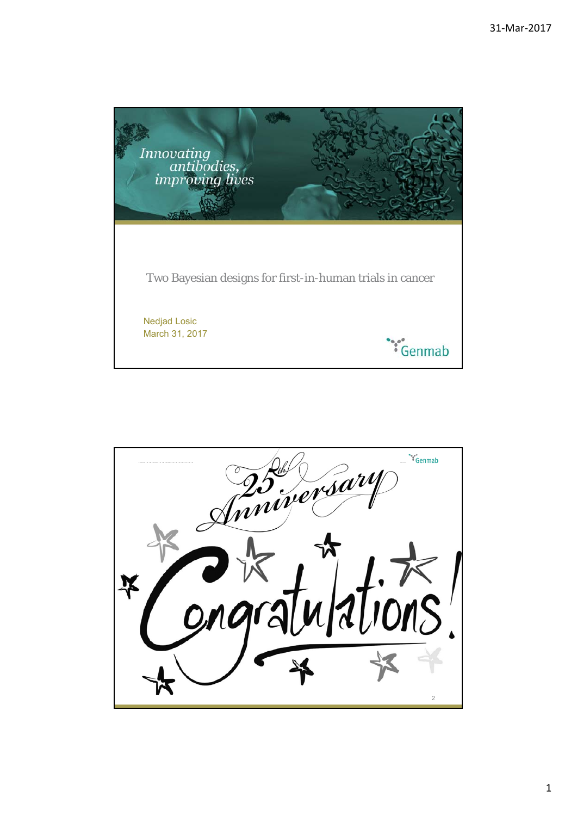

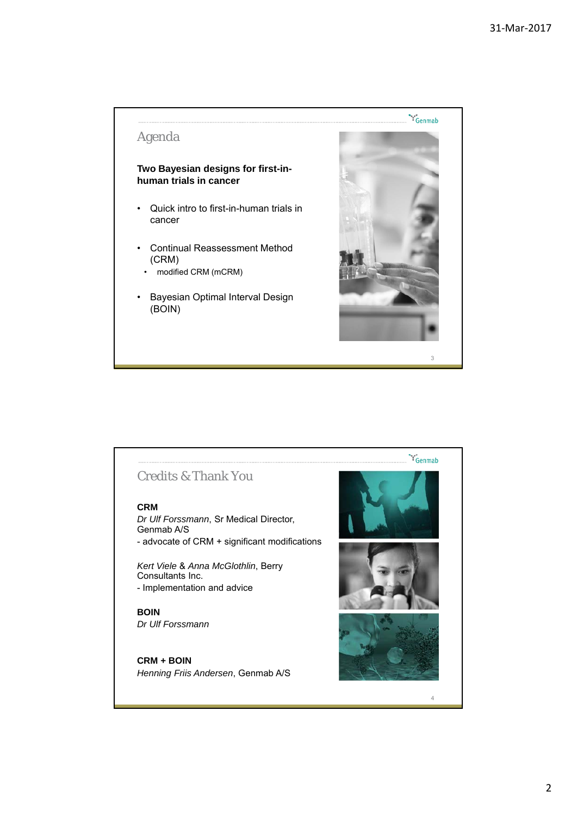## Agenda

## **Two Bayesian designs for first-inhuman trials in cancer**

- Quick intro to first-in-human trials in cancer
- Continual Reassessment Method (CRM)
	- modified CRM (mCRM)
- Bayesian Optimal Interval Design (BOIN)



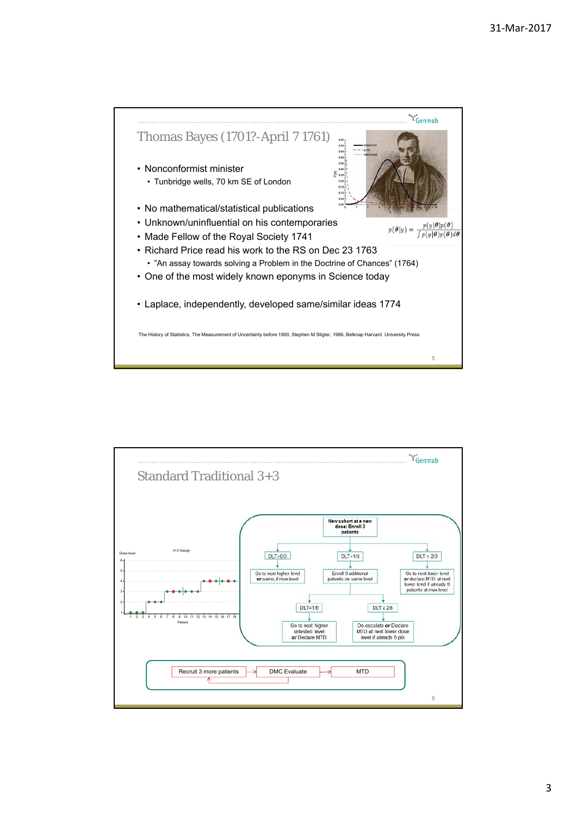

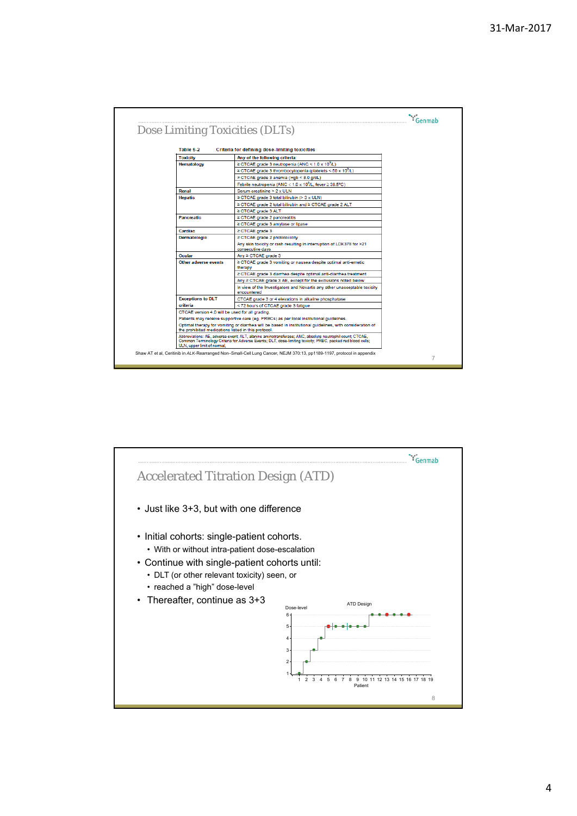| Dose Limiting Toxicities (DLTs)                     |                                                                                                                                                                                                                       |  |
|-----------------------------------------------------|-----------------------------------------------------------------------------------------------------------------------------------------------------------------------------------------------------------------------|--|
| Table 5-2                                           | Criteria for defining dose-limiting toxicities                                                                                                                                                                        |  |
| <b>Toxicity</b>                                     | Any of the following criteria:                                                                                                                                                                                        |  |
| <b>Hematology</b>                                   | $\geq$ CTCAE grade 3 neutropenia (ANC < 1.0 x 10 <sup>9</sup> /L)                                                                                                                                                     |  |
|                                                     | ≥ CTCAE grade 3 thrombocytopenia (platelets < 50 x 10 <sup>9</sup> /L)                                                                                                                                                |  |
|                                                     | ≥ CTCAE grade 3 anemia (Hgb < 8.0 g/dL)                                                                                                                                                                               |  |
|                                                     | Febrile neutropenia (ANC < 1.0 x 10 <sup>9</sup> /L, fever ≥ 38.5°C)                                                                                                                                                  |  |
| Renal                                               | Serum creatinine > 2 x ULN                                                                                                                                                                                            |  |
| <b>Hepatic</b>                                      | ≥ CTCAE grade 3 total bilirubin (> 3 x ULN)                                                                                                                                                                           |  |
|                                                     | ≥ CTCAE grade 2 total bilirubin and ≥ CTCAE grade 2 ALT                                                                                                                                                               |  |
|                                                     | ≥ CTCAE grade 3 ALT                                                                                                                                                                                                   |  |
| <b>Pancreatic</b>                                   | ≥ CTCAE grade 2 pancreatitis                                                                                                                                                                                          |  |
|                                                     | ≥ CTCAE grade 3 amvlase or lipase                                                                                                                                                                                     |  |
| Cardiac                                             | $\geq$ CTCAE grade 3                                                                                                                                                                                                  |  |
| Dermatologic                                        | ≥ CTCAE grade 2 phototoxicity                                                                                                                                                                                         |  |
|                                                     | Any skin toxicity or rash resulting in interruption of LDK378 for >21<br>consecutive days                                                                                                                             |  |
| Ocular                                              | Any ≥ CTCAE grade 3                                                                                                                                                                                                   |  |
| Other adverse events                                | ≥ CTCAE grade 3 vomiting or nausea despite optimal anti-emetic<br>therapy                                                                                                                                             |  |
|                                                     | ≥ CTCAE grade 3 diarrhea despite optimal anti-diarrhea treatment                                                                                                                                                      |  |
|                                                     | Any ≥ CTCAE grade 3 AE, except for the exclusions noted below                                                                                                                                                         |  |
|                                                     | In view of the Investigators and Novartis any other unacceptable toxicity<br>encountered                                                                                                                              |  |
| <b>Exceptions to DLT</b>                            | CTCAE grade 3 or 4 elevations in alkaline phosphatase                                                                                                                                                                 |  |
| criteria                                            | < 72 hours of CTCAE grade 3 fatigue                                                                                                                                                                                   |  |
| CTCAE version 4.0 will be used for all grading.     |                                                                                                                                                                                                                       |  |
|                                                     | Patients may receive supportive care (eg. PRBCs) as per local institutional guidelines.                                                                                                                               |  |
| the prohibited medications listed in this protocol. | Optimal therapy for vomiting or diarrhea will be based in institutional guidelines, with consideration of                                                                                                             |  |
| ULN, upper limit of normal,                         | Abbreviations: AE, adverse event: ALT, alanine aminotransferase; ANC, absolute neutrophil count; CTCAE,<br>Common Terminology Criteria for Adverse Events: DLT, dose-limiting toxicity; PRBC, packed red blood cells; |  |

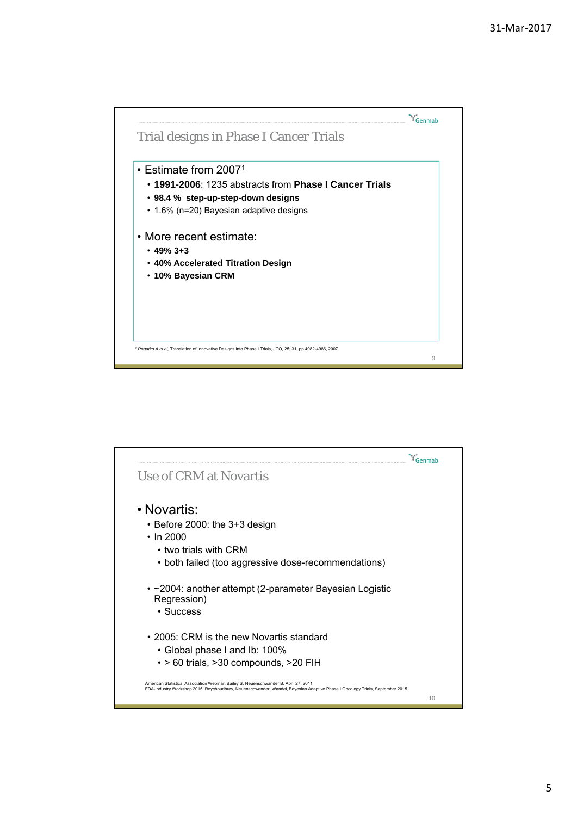



5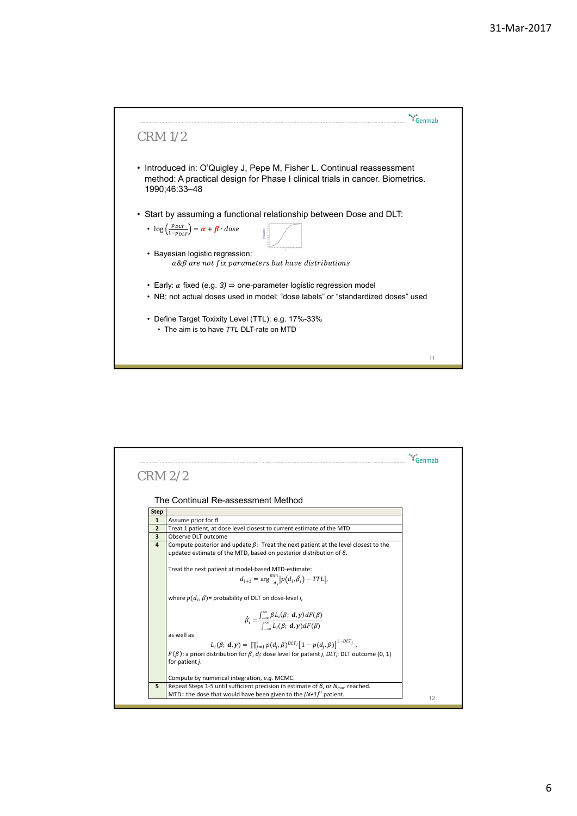

|                         | $CRM$ $2/2$                                                                                                                                                            |  |
|-------------------------|------------------------------------------------------------------------------------------------------------------------------------------------------------------------|--|
|                         |                                                                                                                                                                        |  |
|                         |                                                                                                                                                                        |  |
|                         | The Continual Re-assessment Method                                                                                                                                     |  |
| <b>Step</b>             |                                                                                                                                                                        |  |
| $\mathbf{1}$            | Assume prior for $\theta$                                                                                                                                              |  |
| $\overline{2}$          | Treat 1 patient, at dose level closest to current estimate of the MTD                                                                                                  |  |
| $\overline{\mathbf{3}}$ | Observe DLT outcome                                                                                                                                                    |  |
| $\overline{a}$          | Compute posterior and update $\beta$ : Treat the next patient at the level closest to the<br>updated estimate of the MTD, based on posterior distribution of $\beta$ . |  |
|                         | Treat the next patient at model-based MTD-estimate:                                                                                                                    |  |
|                         | $d_{i+1} = \arg \min_{d_{i}}  p(d_{i}, \hat{\beta}_{i}) - TTL ,$                                                                                                       |  |
|                         | where $p(d_i, \beta)$ = probability of DLT on dose-level i,                                                                                                            |  |
|                         | $\hat{\beta}_i = \frac{\int_{-\infty}^{\infty} \beta L_i(\beta; d, \mathbf{y}) dF(\beta)}{\int_{-\infty}^{\infty} L_i(\beta; d, \mathbf{y}) dF(\beta)}$                |  |
|                         |                                                                                                                                                                        |  |
|                         | as well as                                                                                                                                                             |  |
|                         | $L_i(\beta; d, y) = \prod_{i=1}^i p(d_i, \beta)^{DLT_j} [1 - p(d_i, \beta)]^{1-DLT_j}$                                                                                 |  |
|                         | $F(\beta)$ : a priori distribution for $\beta$ , d <sub>i</sub> : dose level for patient <i>j</i> , <i>DLT</i> <sub>i</sub> : DLT outcome (0, 1)                       |  |
|                         | for patient j.                                                                                                                                                         |  |
|                         | Compute by numerical integration, e.g. MCMC.                                                                                                                           |  |
| 5                       | Repeat Steps 1-5 until sufficient precision in estimate of $\beta$ , or $N_{max}$ reached.                                                                             |  |
|                         | MTD= the dose that would have been given to the $(N+1)^{st}$ patient.                                                                                                  |  |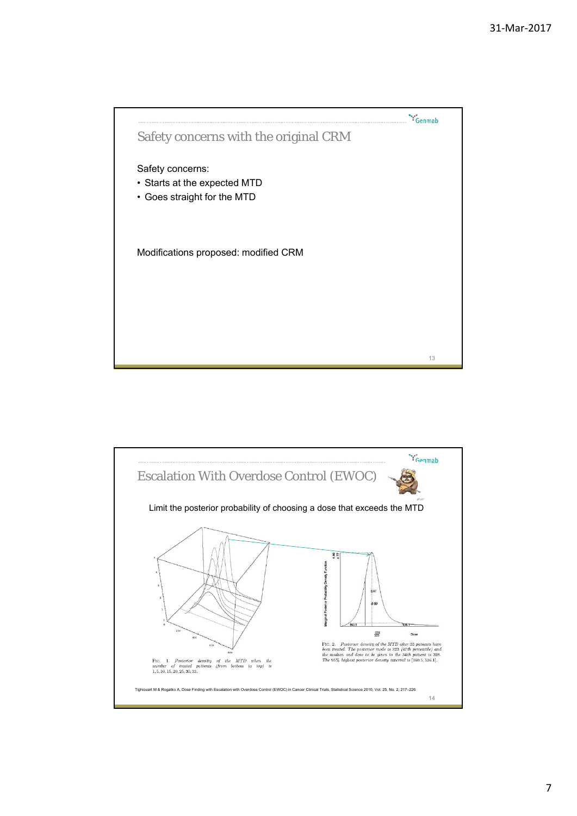

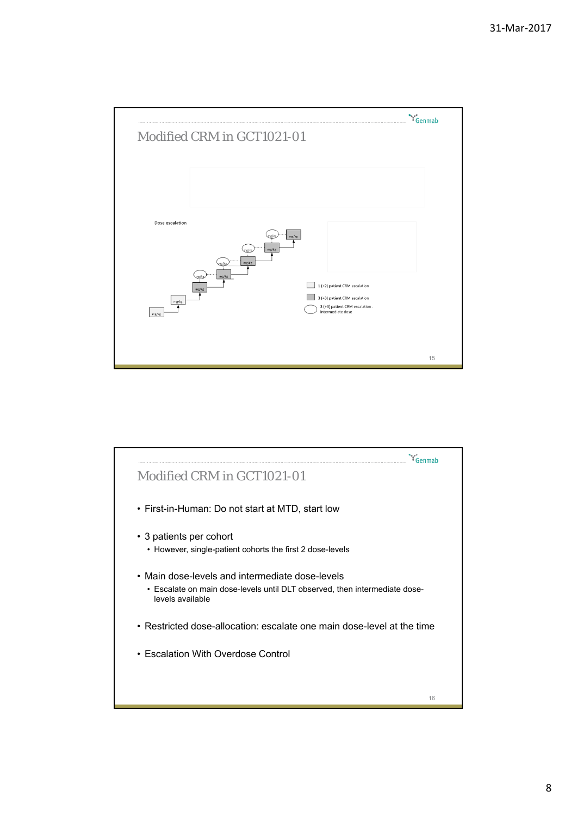



8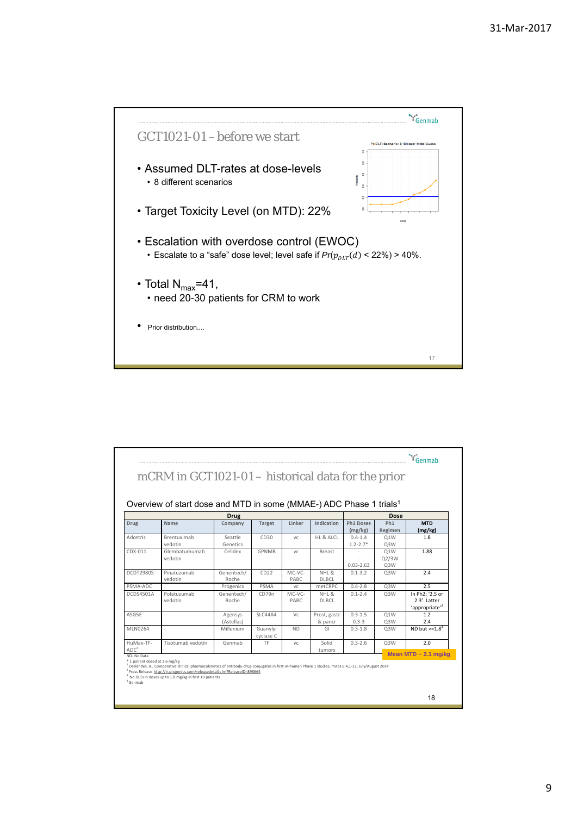

|                               | Overview of start dose and MTD in some (MMAE-) ADC Phase 1 trials <sup>1</sup> |                       |                       |                 |                               |                             |                            |                                                               |
|-------------------------------|--------------------------------------------------------------------------------|-----------------------|-----------------------|-----------------|-------------------------------|-----------------------------|----------------------------|---------------------------------------------------------------|
|                               |                                                                                | <b>Drug</b>           |                       |                 |                               |                             | Dose                       |                                                               |
| <b>Drug</b>                   | Name                                                                           | Company               | <b>Target</b>         | Linker          | Indication                    | <b>Ph1 Doses</b><br>(mg/kg) | Ph <sub>1</sub><br>Regimen | <b>MTD</b><br>(mg/kg)                                         |
| Adcetris                      | <b>Brentuximab</b><br>vedotin                                                  | Seattle<br>Genetics   | CD30                  | VC.             | HL & ALCL                     | $0.4 - 1.4$<br>$1.2 - 2.7*$ | 01W<br>Q3W                 | 1.8                                                           |
| CDX-011                       | Glembatumumab<br>vedotin                                                       | Celldex               | <b>GPNMB</b>          | VC              | Breast                        | $0.03 - 2.63$               | Q1W<br>Q2/3W<br>Q3W        | 1.88                                                          |
| DCDT2980S                     | Pinatuzumab<br>vedotin                                                         | Genentech/<br>Roche   | CD22                  | MC-VC-<br>PABC  | NHL <sub>&amp;</sub><br>DLBCL | $0.1 - 3.2$                 | Q3W                        | 2.4                                                           |
| PSMA-ADC                      |                                                                                | Progenics             | PSMA                  | VC              | metCRPC                       | $0.4 - 2.8$                 | Q3W                        | 2.5                                                           |
| DCDS4501A                     | Polatuzumab<br>vedotin                                                         | Genentech/<br>Roche   | CD79n                 | MC-VC-<br>PABC. | NHL &<br><b>DLBCL</b>         | $0.1 - 2.4$                 | Q3W                        | In Ph2: '2.5 or<br>2.3'. Latter<br>'appropriate' <sup>2</sup> |
| ASG5F                         | ×,                                                                             | Agensys<br>(Astellas) | <b>SLC44A4</b>        | Vc.             | Prost, gastr<br>& pancr       | $0.3 - 1.5$<br>$0.3 - 3$    | Q1W<br>Q3W                 | 1.2<br>2.4                                                    |
| MLN0264                       | ×,                                                                             | Millenium             | Guanylyl<br>cyclase C | <b>ND</b>       | GI                            | $0.3 - 1.8$                 | Q3W                        | ND but $> = 1.8^3$                                            |
| HuMax-TF-<br>ADC <sup>4</sup> | Tisotumab vedotin                                                              | Genmab                | <b>TF</b>             | VC.             | Solid<br>tumors               | $0.3 - 2.6$                 | Q3W                        | 2.0<br>Mean MTD $\sim$ 2.1 mg/kg                              |

9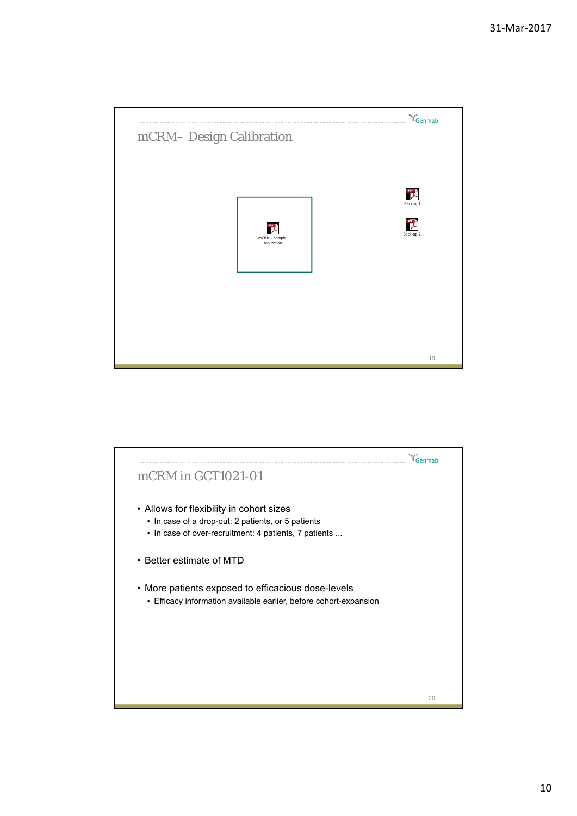

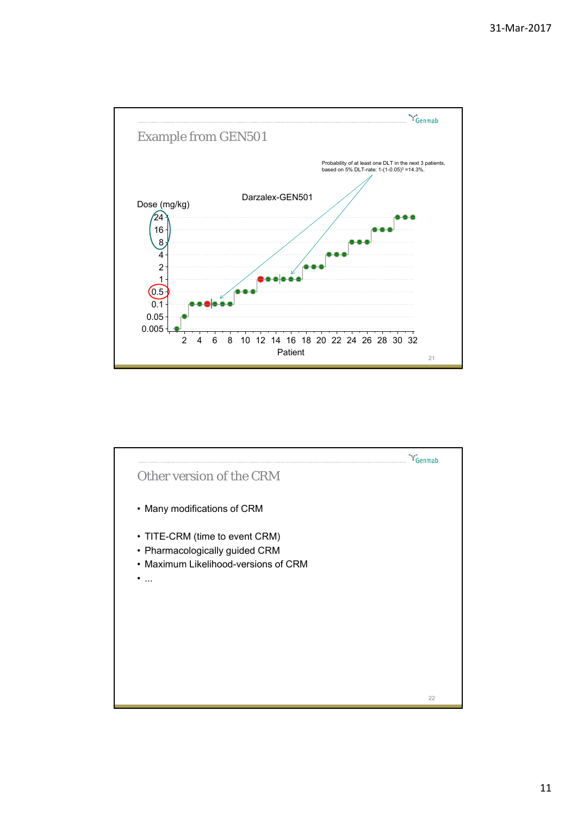

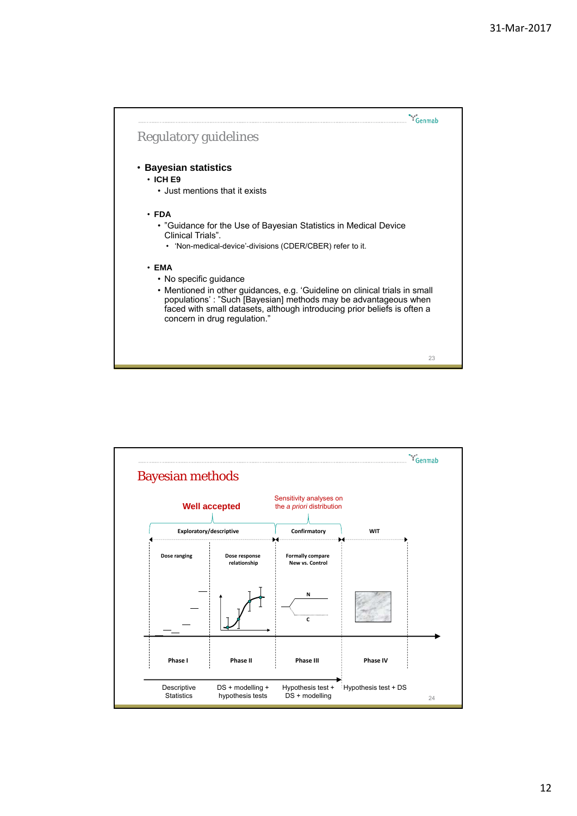

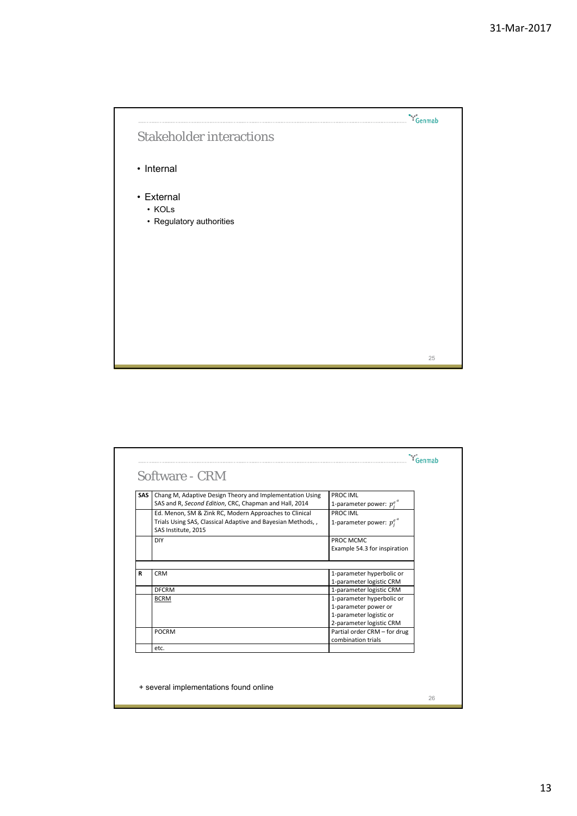

| SAS I | Chang M, Adaptive Design Theory and Implementation Using<br>SAS and R, Second Edition, CRC, Chapman and Hall, 2014                           | PROC IML<br>1-parameter power: $p_i^{e^u}$                                                                                           |
|-------|----------------------------------------------------------------------------------------------------------------------------------------------|--------------------------------------------------------------------------------------------------------------------------------------|
|       | Ed. Menon, SM & Zink RC, Modern Approaches to Clinical<br>Trials Using SAS, Classical Adaptive and Bayesian Methods,,<br>SAS Institute, 2015 | PROC IML<br>1-parameter power: $p_i^{e^{\alpha}}$                                                                                    |
|       | DIY                                                                                                                                          | PROC MCMC<br>Example 54.3 for inspiration                                                                                            |
| R     | <b>CRM</b>                                                                                                                                   | 1-parameter hyperbolic or<br>1-parameter logistic CRM                                                                                |
|       | <b>DFCRM</b><br><b>BCRM</b>                                                                                                                  | 1-parameter logistic CRM<br>1-parameter hyperbolic or<br>1-parameter power or<br>1-parameter logistic or<br>2-parameter logistic CRM |
|       | <b>POCRM</b>                                                                                                                                 | Partial order CRM - for drug<br>combination trials                                                                                   |
|       | etc.                                                                                                                                         |                                                                                                                                      |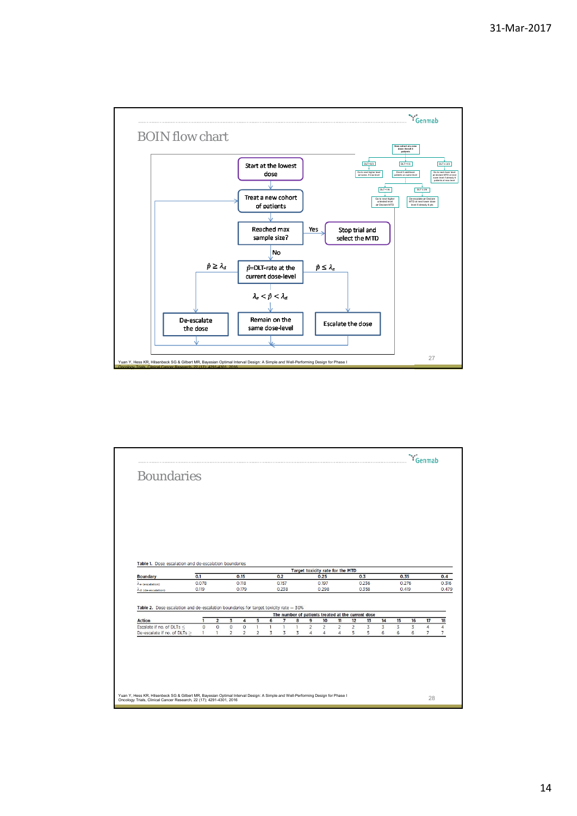

| <b>Boundaries</b>                                                                      |                                |                         |                           |                           |                                |        |                         |                   |                                  |                                  |                                  |                                                    |                     |                     |        |                     |                                  |  |
|----------------------------------------------------------------------------------------|--------------------------------|-------------------------|---------------------------|---------------------------|--------------------------------|--------|-------------------------|-------------------|----------------------------------|----------------------------------|----------------------------------|----------------------------------------------------|---------------------|---------------------|--------|---------------------|----------------------------------|--|
|                                                                                        |                                |                         |                           |                           |                                |        |                         |                   |                                  |                                  |                                  |                                                    |                     |                     |        |                     |                                  |  |
|                                                                                        |                                |                         |                           |                           |                                |        |                         |                   |                                  |                                  |                                  |                                                    |                     |                     |        |                     |                                  |  |
|                                                                                        |                                |                         |                           |                           |                                |        |                         |                   |                                  |                                  |                                  |                                                    |                     |                     |        |                     |                                  |  |
|                                                                                        |                                |                         |                           |                           |                                |        |                         |                   |                                  |                                  |                                  |                                                    |                     |                     |        |                     |                                  |  |
|                                                                                        |                                |                         |                           |                           |                                |        |                         |                   |                                  |                                  |                                  |                                                    |                     |                     |        |                     |                                  |  |
|                                                                                        |                                |                         |                           |                           |                                |        |                         |                   |                                  |                                  |                                  |                                                    |                     |                     |        |                     |                                  |  |
|                                                                                        |                                |                         |                           |                           |                                |        |                         |                   |                                  |                                  |                                  |                                                    |                     |                     |        |                     |                                  |  |
|                                                                                        |                                |                         |                           |                           |                                |        |                         |                   |                                  |                                  |                                  |                                                    |                     |                     |        |                     |                                  |  |
|                                                                                        |                                |                         |                           |                           |                                |        |                         |                   |                                  |                                  |                                  |                                                    |                     |                     |        |                     |                                  |  |
| Table 1. Dose escalation and de-escalation boundaries                                  |                                |                         |                           |                           |                                |        |                         |                   |                                  |                                  |                                  |                                                    |                     |                     |        |                     |                                  |  |
|                                                                                        |                                |                         |                           |                           |                                |        |                         |                   |                                  | Target toxicity rate for the MTD |                                  |                                                    |                     |                     |        |                     |                                  |  |
|                                                                                        |                                |                         |                           |                           |                                |        |                         |                   |                                  |                                  |                                  |                                                    |                     |                     |        |                     |                                  |  |
| <b>Boundary</b>                                                                        | 0.1                            |                         |                           | 0.15                      |                                |        | 0.2                     |                   |                                  | 0.25                             |                                  |                                                    | 0.3                 |                     | 0.35   |                     |                                  |  |
| $\lambda_{e}$ (escalation)                                                             | 0.078<br>0.119                 |                         |                           | 0.118<br>0.179            |                                |        | 0.157<br>0.238          |                   |                                  | 0.197<br>0.298                   |                                  |                                                    | 0.236<br>0.358      |                     |        | 0.276<br>0.419      |                                  |  |
| $\lambda$ d (de-escalation)                                                            |                                |                         |                           |                           |                                |        |                         |                   |                                  |                                  |                                  |                                                    |                     |                     |        |                     |                                  |  |
|                                                                                        |                                |                         |                           |                           |                                |        |                         |                   |                                  |                                  |                                  |                                                    |                     |                     |        |                     |                                  |  |
| Table 2. Dose escalation and de-escalation boundaries for target toxicity rate $=$ 30% |                                |                         |                           |                           |                                |        |                         |                   |                                  |                                  |                                  | The number of patients treated at the current dose |                     |                     |        |                     |                                  |  |
| <b>Action</b>                                                                          | 1                              | $\overline{\mathbf{c}}$ | 3                         | 4                         | 5                              | 6      | $\overline{\mathbf{z}}$ | 8                 | 9                                | 10                               | $\overline{\mathbf{u}}$          | 12                                                 | 13                  | 14                  | 15     | 16                  | 17                               |  |
| Escalate if no. of DLTs <                                                              | $\overline{0}$<br>$\mathbf{1}$ | $\circ$<br>$\mathbf{1}$ | $\circ$<br>$\overline{2}$ | $\circ$<br>$\overline{2}$ | $\mathbf{1}$<br>$\overline{2}$ | T<br>3 | $\mathbf{1}$<br>3       | $\mathbf{1}$<br>3 | $\overline{c}$<br>$\overline{4}$ | $\overline{2}$<br>4              | $\overline{c}$<br>$\overline{4}$ | $\overline{c}$<br>5                                | $\overline{3}$<br>5 | $\overline{3}$<br>6 | 3<br>6 | $\overline{3}$<br>6 | $\overline{4}$<br>$\overline{7}$ |  |
| De-escalate if no. of DLTs ≥                                                           |                                |                         |                           |                           |                                |        |                         |                   |                                  |                                  |                                  |                                                    |                     |                     |        |                     |                                  |  |
|                                                                                        |                                |                         |                           |                           |                                |        |                         |                   |                                  |                                  |                                  |                                                    |                     |                     |        |                     |                                  |  |
|                                                                                        |                                |                         |                           |                           |                                |        |                         |                   |                                  |                                  |                                  |                                                    |                     |                     |        |                     |                                  |  |
|                                                                                        |                                |                         |                           |                           |                                |        |                         |                   |                                  |                                  |                                  |                                                    |                     |                     |        |                     |                                  |  |
|                                                                                        |                                |                         |                           |                           |                                |        |                         |                   |                                  |                                  |                                  |                                                    |                     |                     |        |                     |                                  |  |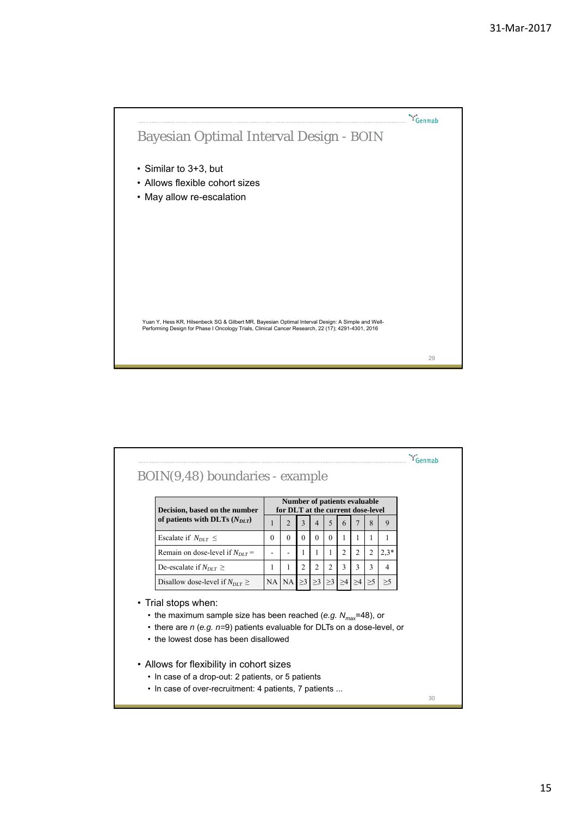

| Decision, based on the number                                                                                                                                                                                               | Number of patients evaluable<br>for DLT at the current dose-level |                  |          |                   |                |                |                     |                |                |
|-----------------------------------------------------------------------------------------------------------------------------------------------------------------------------------------------------------------------------|-------------------------------------------------------------------|------------------|----------|-------------------|----------------|----------------|---------------------|----------------|----------------|
| of patients with DLTs $(N_{DIT})$                                                                                                                                                                                           | 1                                                                 | 2                | 3        | $\overline{4}$    | 5              | 6              | 7                   | 8              | 9              |
| Escalate if $N_{DIT} \leq$                                                                                                                                                                                                  | $\Omega$                                                          | $\Omega$         | $\Omega$ | 0                 | $\theta$       | 1.             | 1.                  | 1              | 1              |
| Remain on dose-level if $N_{DIT}$ =                                                                                                                                                                                         |                                                                   |                  | 1        | 1                 | 1              | $\overline{c}$ | 2                   | $\overline{2}$ | $2,3*$         |
| De-escalate if $N_{DUT}$ >                                                                                                                                                                                                  | 1                                                                 | 1                | 2        | 2                 | $\overline{c}$ | 3              | 3                   | 3              | $\overline{4}$ |
| Disallow dose-level if $N_{DIT} \geq$                                                                                                                                                                                       |                                                                   |                  |          |                   |                |                |                     |                |                |
|                                                                                                                                                                                                                             |                                                                   | $NA$ $NA \geq 3$ |          | $\geq$ 3 $\geq$ 3 |                | $\geq$ 4       | $\geq 4$   $\geq 5$ |                | >5             |
| • Trial stops when:<br>• the maximum sample size has been reached (e.g. $N_{\text{max}}$ =48), or<br>• there are $n$ (e.g. $n=9$ ) patients evaluable for DLTs on a dose-level, or<br>• the lowest dose has been disallowed |                                                                   |                  |          |                   |                |                |                     |                |                |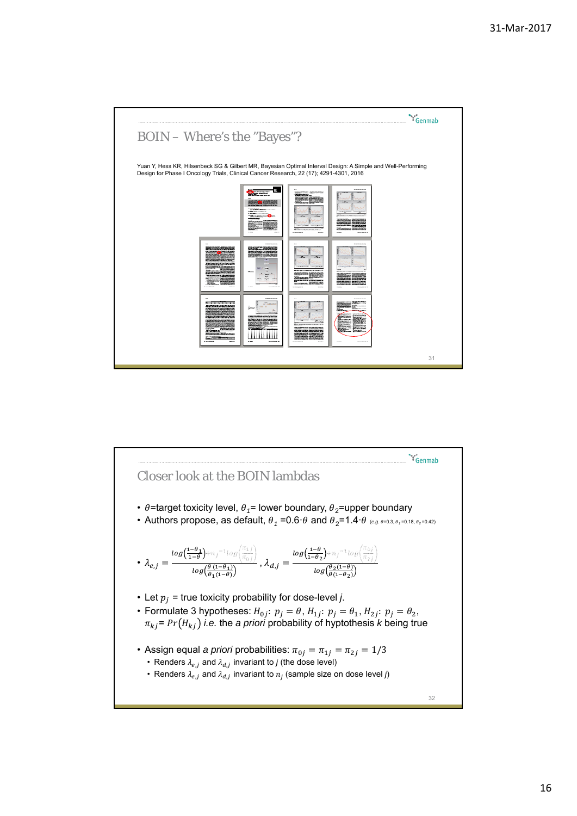

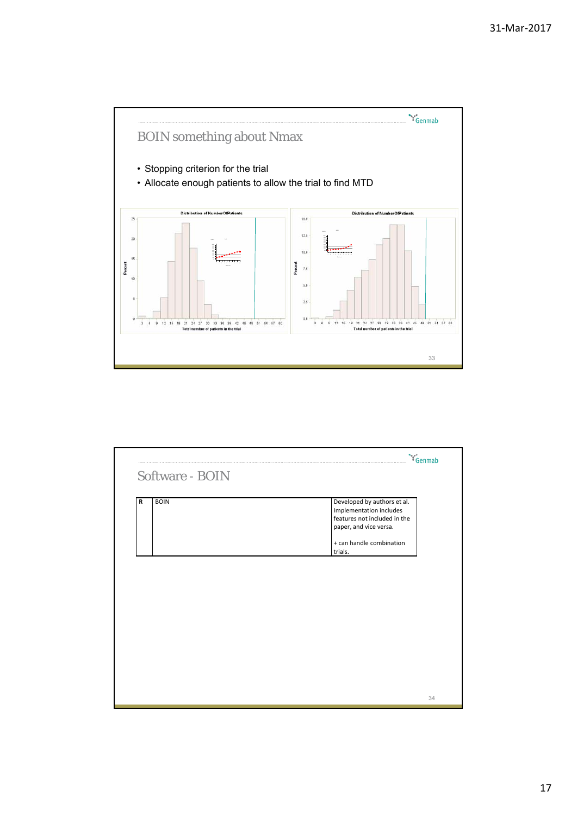

| <b>BOIN</b><br>$\mathbf R$ | Developed by authors et al.<br>Implementation includes<br>features not included in the<br>paper, and vice versa.<br>+ can handle combination<br>trials. |
|----------------------------|---------------------------------------------------------------------------------------------------------------------------------------------------------|
|                            |                                                                                                                                                         |
|                            |                                                                                                                                                         |
|                            |                                                                                                                                                         |
|                            |                                                                                                                                                         |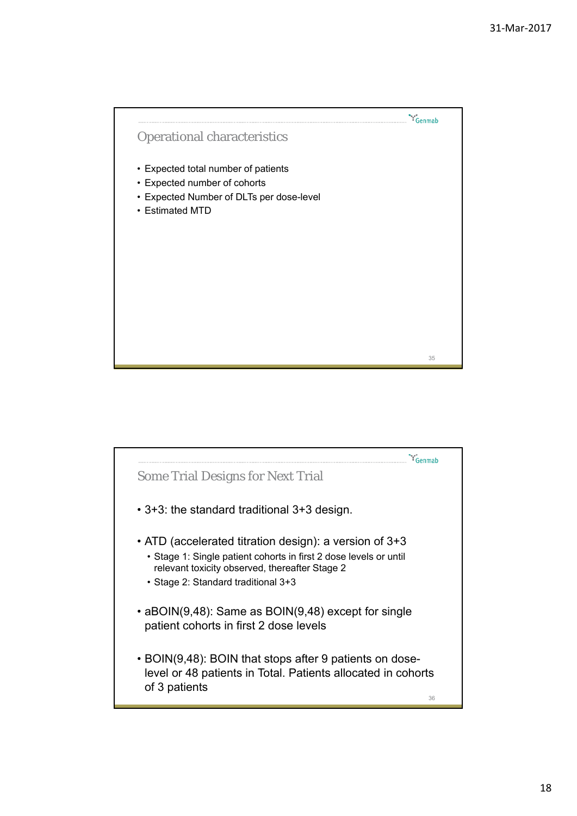

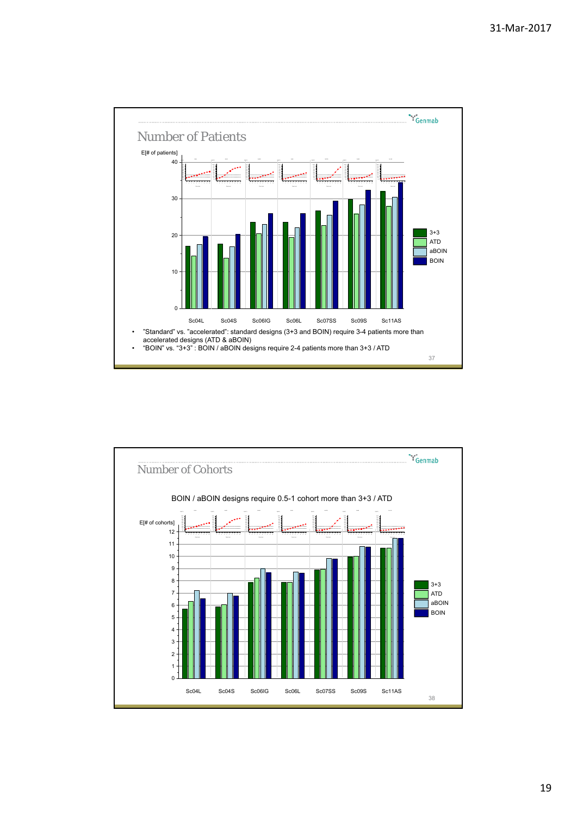

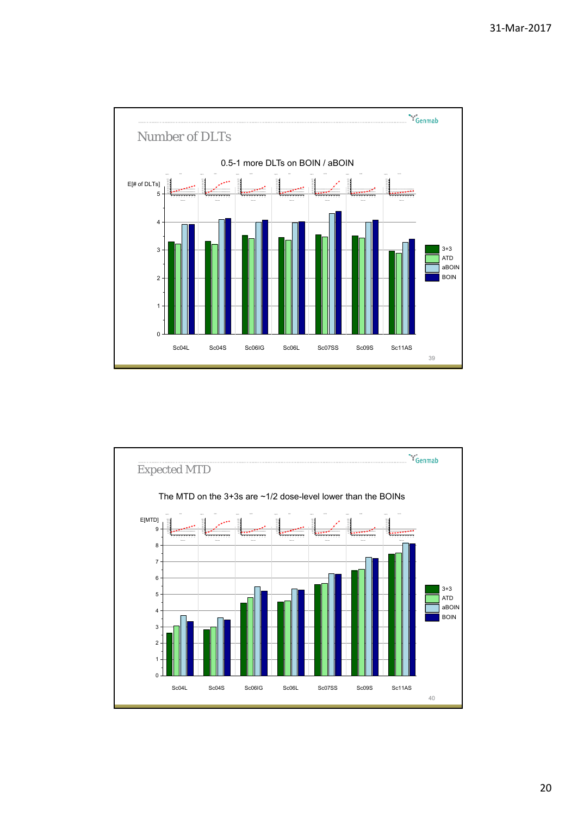

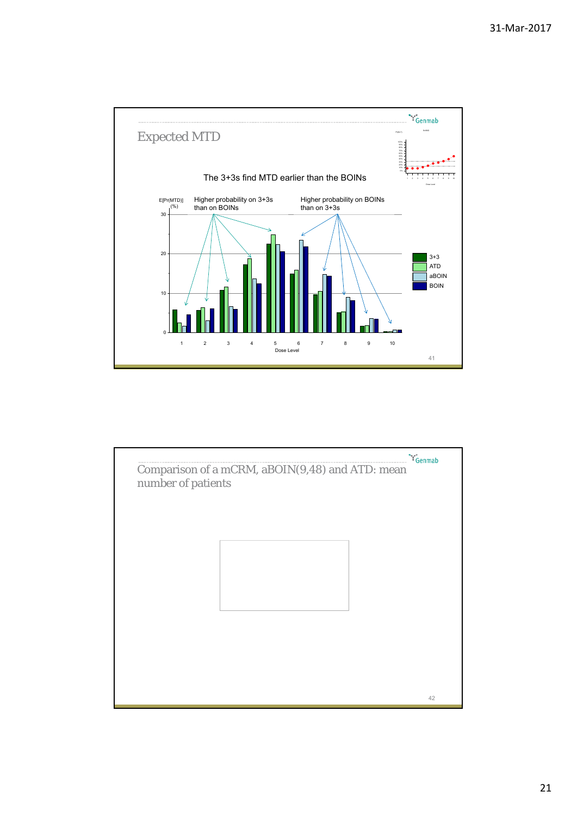

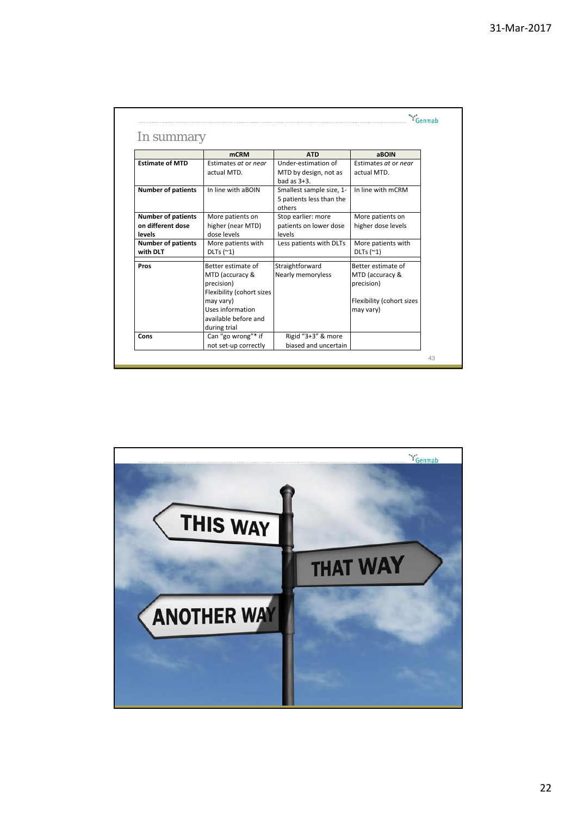|                           | <b>mCRM</b>               | <b>ATD</b>               | <b>ABOIN</b>              |
|---------------------------|---------------------------|--------------------------|---------------------------|
| <b>Fstimate of MTD</b>    | Estimates at or near      | Under-estimation of      | Estimates at or near      |
|                           | actual MTD.               | MTD by design, not as    | actual MTD.               |
|                           |                           | bad as $3+3$ .           |                           |
| <b>Number of patients</b> | In line with aBOIN        | Smallest sample size, 1- | In line with mCRM         |
|                           |                           | 5 patients less than the |                           |
|                           |                           | others                   |                           |
| <b>Number of patients</b> | More patients on          | Stop earlier: more       | More patients on          |
| on different dose         | higher (near MTD)         | patients on lower dose   | higher dose levels        |
| levels                    | dose levels               | levels                   |                           |
| <b>Number of patients</b> | More patients with        | Less patients with DLTs  | More patients with        |
| with DLT                  | DLTs $(2)$                |                          | DLTs $($ <sup>~1</sup> )  |
| Pros                      | Better estimate of        | Straightforward          | <b>Better estimate of</b> |
|                           | MTD (accuracy &           | Nearly memoryless        | MTD (accuracy &           |
|                           | precision)                |                          | precision)                |
|                           | Flexibility (cohort sizes |                          |                           |
|                           | may vary)                 |                          | Flexibility (cohort sizes |
|                           | Uses information          |                          | may vary)                 |
|                           | available before and      |                          |                           |
|                           | during trial              |                          |                           |
| Cons                      | Can "go wrong"* if        | Rigid "3+3" & more       |                           |
|                           | not set-up correctly      | biased and uncertain     |                           |